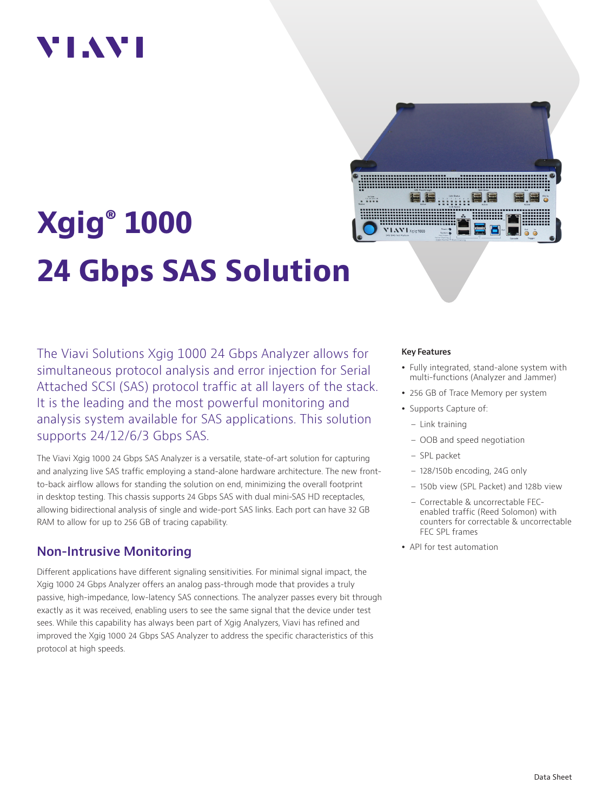# VIAVI

# **Xgig® 1000 24 Gbps SAS Solution**

The Viavi Solutions Xgig 1000 24 Gbps Analyzer allows for simultaneous protocol analysis and error injection for Serial Attached SCSI (SAS) protocol traffic at all layers of the stack. It is the leading and the most powerful monitoring and analysis system available for SAS applications. This solution supports 24/12/6/3 Gbps SAS.

The Viavi Xgig 1000 24 Gbps SAS Analyzer is a versatile, state-of-art solution for capturing and analyzing live SAS traffic employing a stand-alone hardware architecture. The new frontto-back airflow allows for standing the solution on end, minimizing the overall footprint in desktop testing. This chassis supports 24 Gbps SAS with dual mini-SAS HD receptacles, allowing bidirectional analysis of single and wide-port SAS links. Each port can have 32 GB RAM to allow for up to 256 GB of tracing capability.

# **Non-Intrusive Monitoring**

Different applications have different signaling sensitivities. For minimal signal impact, the Xgig 1000 24 Gbps Analyzer offers an analog pass-through mode that provides a truly passive, high-impedance, low-latency SAS connections. The analyzer passes every bit through exactly as it was received, enabling users to see the same signal that the device under test sees. While this capability has always been part of Xgig Analyzers, Viavi has refined and improved the Xgig 1000 24 Gbps SAS Analyzer to address the specific characteristics of this protocol at high speeds.

#### **Key Features**

- Fully integrated, stand-alone system with multi-functions (Analyzer and Jammer)
- 256 GB of Trace Memory per system
- Supports Capture of:
	- Link training
	- OOB and speed negotiation
	- SPL packet
	- 128/150b encoding, 24G only
	- 150b view (SPL Packet) and 128b view
	- Correctable & uncorrectable FECenabled traffic (Reed Solomon) with counters for correctable & uncorrectable FEC SPL frames
- API for test automation